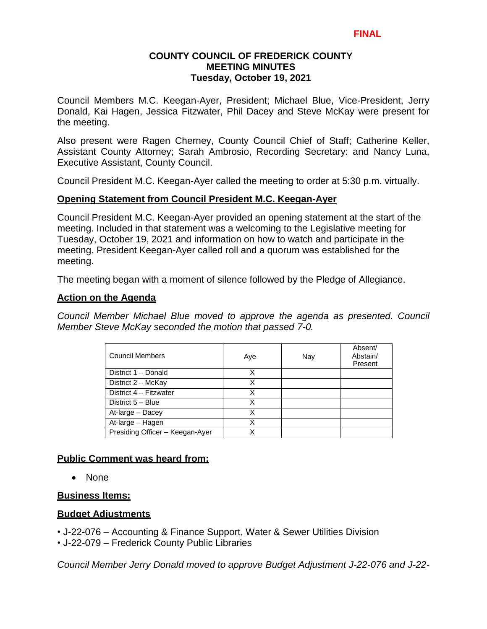Council Members M.C. Keegan-Ayer, President; Michael Blue, Vice-President, Jerry Donald, Kai Hagen, Jessica Fitzwater, Phil Dacey and Steve McKay were present for the meeting.

Also present were Ragen Cherney, County Council Chief of Staff; Catherine Keller, Assistant County Attorney; Sarah Ambrosio, Recording Secretary: and Nancy Luna, Executive Assistant, County Council.

Council President M.C. Keegan-Ayer called the meeting to order at 5:30 p.m. virtually.

### **Opening Statement from Council President M.C. Keegan-Ayer**

Council President M.C. Keegan-Ayer provided an opening statement at the start of the meeting. Included in that statement was a welcoming to the Legislative meeting for Tuesday, October 19, 2021 and information on how to watch and participate in the meeting. President Keegan-Ayer called roll and a quorum was established for the meeting.

The meeting began with a moment of silence followed by the Pledge of Allegiance.

### **Action on the Agenda**

*Council Member Michael Blue moved to approve the agenda as presented. Council Member Steve McKay seconded the motion that passed 7-0.*

| <b>Council Members</b>          | Aye | Nay | Absent/<br>Abstain/<br>Present |
|---------------------------------|-----|-----|--------------------------------|
| District 1 - Donald             | x   |     |                                |
| District 2 - McKay              | Χ   |     |                                |
| District 4 - Fitzwater          | Χ   |     |                                |
| District 5 - Blue               | X   |     |                                |
| At-large - Dacey                | X   |     |                                |
| At-large - Hagen                | x   |     |                                |
| Presiding Officer - Keegan-Ayer | x   |     |                                |

### **Public Comment was heard from:**

• None

### **Business Items:**

### **Budget Adjustments**

• J-22-076 – Accounting & Finance Support, Water & Sewer Utilities Division

• J-22-079 – Frederick County Public Libraries

*Council Member Jerry Donald moved to approve Budget Adjustment J-22-076 and J-22-*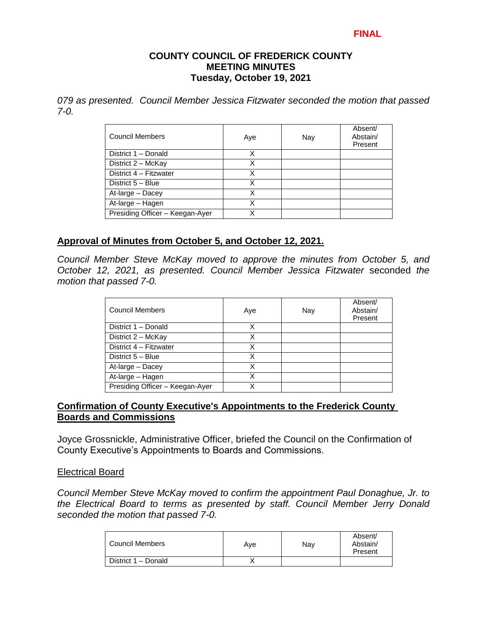#### **COUNTY COUNCIL OF FREDERICK COUNTY MEETING MINUTES Tuesday, October 19, 2021**

*079 as presented. Council Member Jessica Fitzwater seconded the motion that passed 7-0.*

| <b>Council Members</b>          | Aye | Nay | Absent/<br>Abstain/<br>Present |
|---------------------------------|-----|-----|--------------------------------|
| District 1 - Donald             | X   |     |                                |
| District 2 - McKay              | Χ   |     |                                |
| District 4 - Fitzwater          | X   |     |                                |
| District 5 - Blue               | X   |     |                                |
| At-large - Dacey                | x   |     |                                |
| At-large - Hagen                | χ   |     |                                |
| Presiding Officer - Keegan-Ayer |     |     |                                |

### **Approval of Minutes from October 5, and October 12, 2021.**

*Council Member Steve McKay moved to approve the minutes from October 5, and October 12, 2021, as presented. Council Member Jessica Fitzwater* seconded *the motion that passed 7-0.* 

| <b>Council Members</b>          | Aye | Nay | Absent/<br>Abstain/<br>Present |
|---------------------------------|-----|-----|--------------------------------|
| District 1 - Donald             | Χ   |     |                                |
| District 2 - McKay              | X   |     |                                |
| District 4 - Fitzwater          | x   |     |                                |
| District 5 - Blue               | x   |     |                                |
| At-large - Dacey                | x   |     |                                |
| At-large - Hagen                | x   |     |                                |
| Presiding Officer - Keegan-Ayer |     |     |                                |

### **Confirmation of County Executive's Appointments to the Frederick County Boards and Commissions**

Joyce Grossnickle, Administrative Officer, briefed the Council on the Confirmation of County Executive's Appointments to Boards and Commissions.

#### Electrical Board

*Council Member Steve McKay moved to confirm the appointment Paul Donaghue, Jr. to the Electrical Board to terms as presented by staff. Council Member Jerry Donald seconded the motion that passed 7-0.* 

| Council Members     | Ave | Nav | Absent/<br>Abstain/<br>Present |
|---------------------|-----|-----|--------------------------------|
| District 1 - Donald |     |     |                                |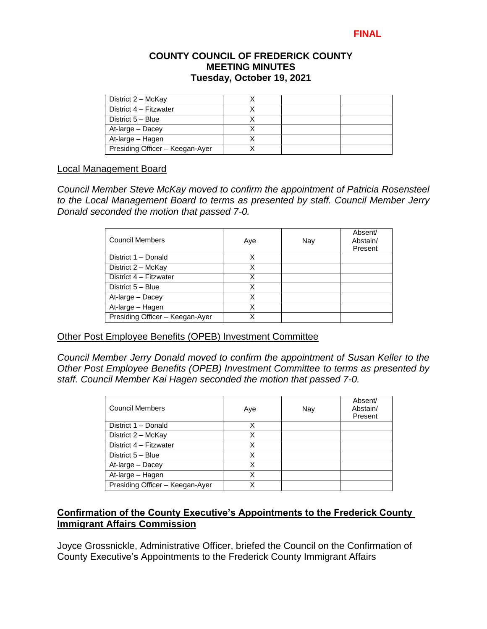| District 2 - McKay              |  |  |
|---------------------------------|--|--|
| District 4 - Fitzwater          |  |  |
| District 5 - Blue               |  |  |
| At-large - Dacey                |  |  |
| At-large - Hagen                |  |  |
| Presiding Officer - Keegan-Ayer |  |  |

#### Local Management Board

*Council Member Steve McKay moved to confirm the appointment of Patricia Rosensteel to the Local Management Board to terms as presented by staff. Council Member Jerry Donald seconded the motion that passed 7-0.* 

| <b>Council Members</b>          | Aye | Nay | Absent/<br>Abstain/<br>Present |
|---------------------------------|-----|-----|--------------------------------|
| District 1 - Donald             | х   |     |                                |
| District 2 - McKay              | Χ   |     |                                |
| District 4 - Fitzwater          | Χ   |     |                                |
| District 5 - Blue               | Χ   |     |                                |
| At-large - Dacey                | Χ   |     |                                |
| At-large - Hagen                | X   |     |                                |
| Presiding Officer - Keegan-Ayer |     |     |                                |

### Other Post Employee Benefits (OPEB) Investment Committee

*Council Member Jerry Donald moved to confirm the appointment of Susan Keller to the Other Post Employee Benefits (OPEB) Investment Committee to terms as presented by staff. Council Member Kai Hagen seconded the motion that passed 7-0.* 

| Council Members                 | Aye | Nay | Absent/<br>Abstain/<br>Present |
|---------------------------------|-----|-----|--------------------------------|
| District 1 - Donald             | x   |     |                                |
| District 2 - McKay              | Χ   |     |                                |
| District 4 - Fitzwater          | x   |     |                                |
| District 5 - Blue               | x   |     |                                |
| At-large - Dacey                | x   |     |                                |
| At-large - Hagen                | x   |     |                                |
| Presiding Officer - Keegan-Ayer |     |     |                                |

### **Confirmation of the County Executive's Appointments to the Frederick County Immigrant Affairs Commission**

Joyce Grossnickle, Administrative Officer, briefed the Council on the Confirmation of County Executive's Appointments to the Frederick County Immigrant Affairs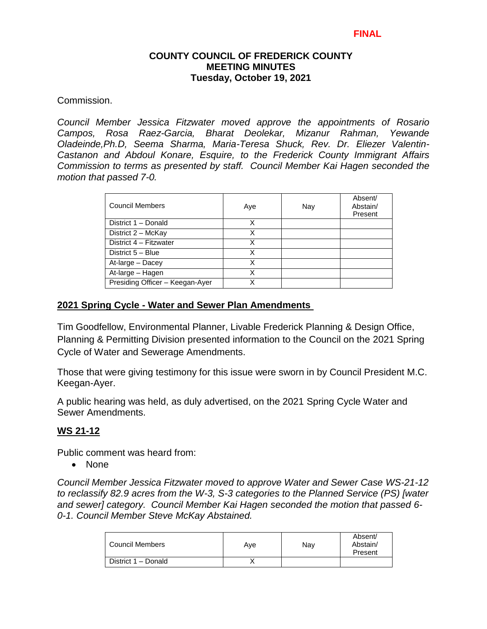Commission.

*Council Member Jessica Fitzwater moved approve the appointments of Rosario Campos, Rosa Raez-Garcia, Bharat Deolekar, Mizanur Rahman, Yewande Oladeinde,Ph.D, Seema Sharma, Maria-Teresa Shuck, Rev. Dr. Eliezer Valentin-Castanon and Abdoul Konare, Esquire, to the Frederick County Immigrant Affairs Commission to terms as presented by staff. Council Member Kai Hagen seconded the motion that passed 7-0.* 

| <b>Council Members</b>          | Aye | Nay | Absent/<br>Abstain/<br>Present |
|---------------------------------|-----|-----|--------------------------------|
| District 1 - Donald             | Χ   |     |                                |
| District 2 - McKay              | x   |     |                                |
| District 4 - Fitzwater          | Χ   |     |                                |
| District 5 - Blue               | X   |     |                                |
| At-large - Dacey                | Χ   |     |                                |
| At-large - Hagen                | X   |     |                                |
| Presiding Officer - Keegan-Ayer | x   |     |                                |

### **2021 Spring Cycle - Water and Sewer Plan Amendments**

Tim Goodfellow, Environmental Planner, Livable Frederick Planning & Design Office, Planning & Permitting Division presented information to the Council on the 2021 Spring Cycle of Water and Sewerage Amendments.

Those that were giving testimony for this issue were sworn in by Council President M.C. Keegan-Ayer.

A public hearing was held, as duly advertised, on the 2021 Spring Cycle Water and Sewer Amendments.

### **WS 21-12**

Public comment was heard from:

• None

*Council Member Jessica Fitzwater moved to approve Water and Sewer Case WS-21-12 to reclassify 82.9 acres from the W-3, S-3 categories to the Planned Service (PS) [water and sewer] category. Council Member Kai Hagen seconded the motion that passed 6- 0-1. Council Member Steve McKay Abstained.*

| Council Members     | Ave | Nay | Absent/<br>Abstain/<br>Present |
|---------------------|-----|-----|--------------------------------|
| District 1 - Donald |     |     |                                |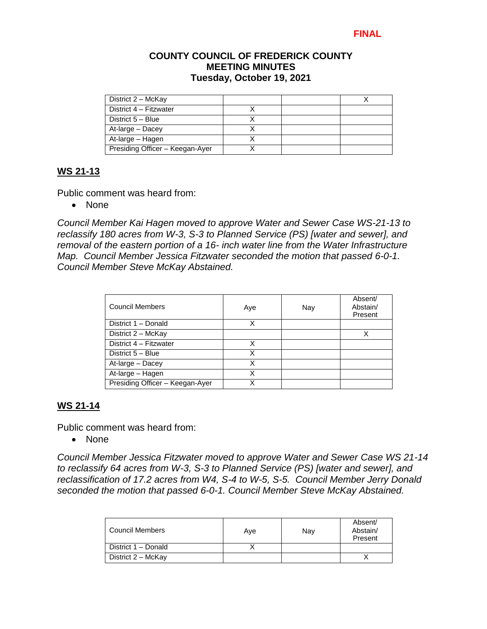| District 2 - McKay              |  |  |
|---------------------------------|--|--|
| District 4 – Fitzwater          |  |  |
| District 5 - Blue               |  |  |
| At-large - Dacey                |  |  |
| At-large - Hagen                |  |  |
| Presiding Officer – Keegan-Ayer |  |  |

# **WS 21-13**

Public comment was heard from:

• None

*Council Member Kai Hagen moved to approve Water and Sewer Case WS-21-13 to reclassify 180 acres from W-3, S-3 to Planned Service (PS) [water and sewer], and removal of the eastern portion of a 16- inch water line from the Water Infrastructure Map. Council Member Jessica Fitzwater seconded the motion that passed 6-0-1. Council Member Steve McKay Abstained.*

| <b>Council Members</b>          | Aye | Nay | Absent/<br>Abstain/<br>Present |
|---------------------------------|-----|-----|--------------------------------|
| District 1 - Donald             | Χ   |     |                                |
| District 2 - McKay              |     |     | х                              |
| District 4 - Fitzwater          | x   |     |                                |
| District 5 - Blue               | x   |     |                                |
| At-large - Dacey                | X   |     |                                |
| At-large - Hagen                | x   |     |                                |
| Presiding Officer - Keegan-Ayer |     |     |                                |

# **WS 21-14**

Public comment was heard from:

• None

*Council Member Jessica Fitzwater moved to approve Water and Sewer Case WS 21-14 to reclassify 64 acres from W-3, S-3 to Planned Service (PS) [water and sewer], and reclassification of 17.2 acres from W4, S-4 to W-5, S-5. Council Member Jerry Donald seconded the motion that passed 6-0-1. Council Member Steve McKay Abstained.*

| Council Members     | Ave | Nay | Absent/<br>Abstain/<br>Present |
|---------------------|-----|-----|--------------------------------|
| District 1 - Donald |     |     |                                |
| District 2 - McKay  |     |     |                                |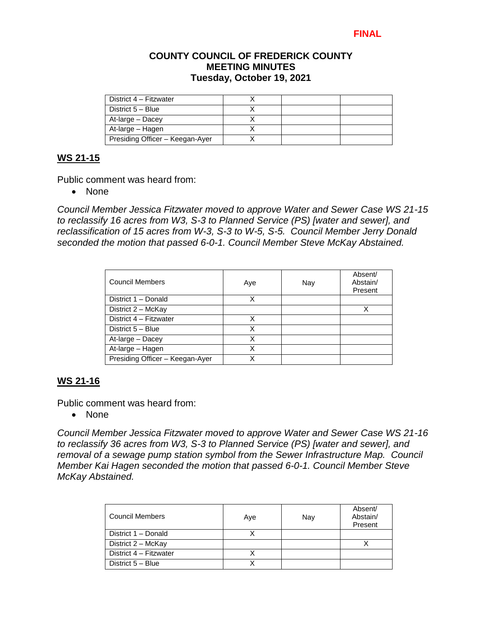### **COUNTY COUNCIL OF FREDERICK COUNTY MEETING MINUTES Tuesday, October 19, 2021**

| District 4 - Fitzwater          |  |  |
|---------------------------------|--|--|
| District 5 - Blue               |  |  |
| At-large – Dacey                |  |  |
| At-large – Hagen                |  |  |
| Presiding Officer - Keegan-Ayer |  |  |

### **WS 21-15**

Public comment was heard from:

• None

*Council Member Jessica Fitzwater moved to approve Water and Sewer Case WS 21-15 to reclassify 16 acres from W3, S-3 to Planned Service (PS) [water and sewer], and reclassification of 15 acres from W-3, S-3 to W-5, S-5. Council Member Jerry Donald seconded the motion that passed 6-0-1. Council Member Steve McKay Abstained.*

| <b>Council Members</b>          | Aye | Nay | Absent/<br>Abstain/<br>Present |
|---------------------------------|-----|-----|--------------------------------|
| District 1 - Donald             | X   |     |                                |
| District 2 - McKay              |     |     |                                |
| District 4 - Fitzwater          | x   |     |                                |
| District 5 - Blue               | Χ   |     |                                |
| At-large - Dacey                | Χ   |     |                                |
| At-large - Hagen                | Χ   |     |                                |
| Presiding Officer - Keegan-Ayer |     |     |                                |

# **WS 21-16**

Public comment was heard from:

• None

*Council Member Jessica Fitzwater moved to approve Water and Sewer Case WS 21-16 to reclassify 36 acres from W3, S-3 to Planned Service (PS) [water and sewer], and removal of a sewage pump station symbol from the Sewer Infrastructure Map. Council Member Kai Hagen seconded the motion that passed 6-0-1. Council Member Steve McKay Abstained.*

| Council Members        | Aye | Nav | Absent/<br>Abstain/<br>Present |
|------------------------|-----|-----|--------------------------------|
| District 1 - Donald    |     |     |                                |
| District 2 - McKay     |     |     |                                |
| District 4 - Fitzwater |     |     |                                |
| District 5 - Blue      |     |     |                                |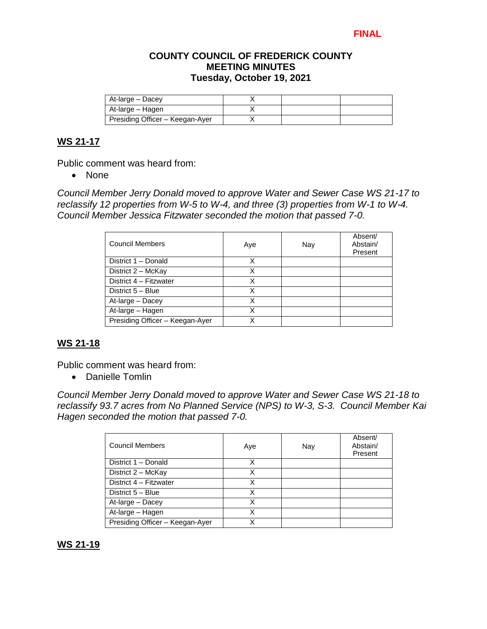### **COUNTY COUNCIL OF FREDERICK COUNTY MEETING MINUTES Tuesday, October 19, 2021**

| At-large – Dacey                |  |  |
|---------------------------------|--|--|
| At-large – Hagen                |  |  |
| Presiding Officer - Keegan-Ayer |  |  |

### **WS 21-17**

Public comment was heard from:

• None

*Council Member Jerry Donald moved to approve Water and Sewer Case WS 21-17 to reclassify 12 properties from W-5 to W-4, and three (3) properties from W-1 to W-4. Council Member Jessica Fitzwater seconded the motion that passed 7-0.* 

| <b>Council Members</b>          | Aye | Nay | Absent/<br>Abstain/<br>Present |
|---------------------------------|-----|-----|--------------------------------|
| District 1 - Donald             | X   |     |                                |
| District $2 - \text{McKay}$     |     |     |                                |
| District 4 - Fitzwater          | X   |     |                                |
| District 5 - Blue               | х   |     |                                |
| At-large - Dacey                | Χ   |     |                                |
| At-large - Hagen                | X   |     |                                |
| Presiding Officer - Keegan-Ayer |     |     |                                |

# **WS 21-18**

Public comment was heard from:

Danielle Tomlin

*Council Member Jerry Donald moved to approve Water and Sewer Case WS 21-18 to reclassify 93.7 acres from No Planned Service (NPS) to W-3, S-3. Council Member Kai Hagen seconded the motion that passed 7-0.* 

| <b>Council Members</b>          | Aye | Nay | Absent/<br>Abstain/<br>Present |
|---------------------------------|-----|-----|--------------------------------|
| District 1 - Donald             | х   |     |                                |
| District 2 - McKay              | Χ   |     |                                |
| District 4 - Fitzwater          | x   |     |                                |
| District 5 - Blue               | X   |     |                                |
| At-large - Dacey                | X   |     |                                |
| At-large - Hagen                | X   |     |                                |
| Presiding Officer - Keegan-Ayer | x   |     |                                |

### **WS 21-19**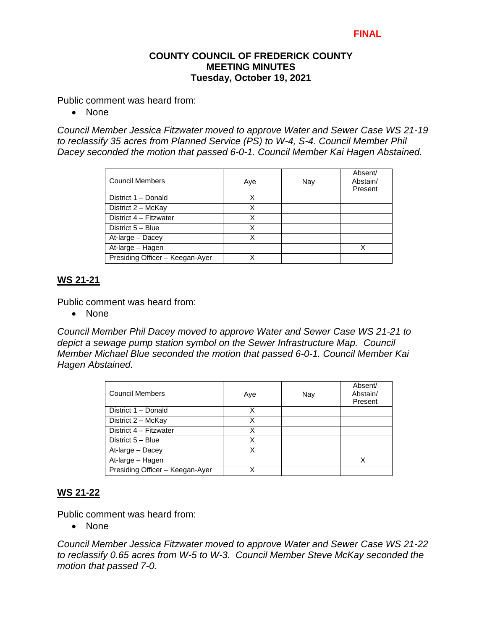Public comment was heard from:

• None

*Council Member Jessica Fitzwater moved to approve Water and Sewer Case WS 21-19 to reclassify 35 acres from Planned Service (PS) to W-4, S-4. Council Member Phil Dacey seconded the motion that passed 6-0-1. Council Member Kai Hagen Abstained.*

| Council Members                 | Aye | Nay | Absent/<br>Abstain/<br>Present |
|---------------------------------|-----|-----|--------------------------------|
| District 1 - Donald             | x   |     |                                |
| District 2 - McKay              | x   |     |                                |
| District 4 - Fitzwater          | X   |     |                                |
| District 5 - Blue               | Χ   |     |                                |
| At-large - Dacey                | X   |     |                                |
| At-large - Hagen                |     |     |                                |
| Presiding Officer - Keegan-Ayer |     |     |                                |

### **WS 21-21**

Public comment was heard from:

• None

*Council Member Phil Dacey moved to approve Water and Sewer Case WS 21-21 to depict a sewage pump station symbol on the Sewer Infrastructure Map. Council Member Michael Blue seconded the motion that passed 6-0-1. Council Member Kai Hagen Abstained.*

| <b>Council Members</b>          | Aye | Nay | Absent/<br>Abstain/<br>Present |
|---------------------------------|-----|-----|--------------------------------|
| District 1 - Donald             | x   |     |                                |
| District 2 - McKay              | x   |     |                                |
| District 4 - Fitzwater          | x   |     |                                |
| District 5 - Blue               | х   |     |                                |
| At-large - Dacey                | X   |     |                                |
| At-large - Hagen                |     |     |                                |
| Presiding Officer - Keegan-Ayer |     |     |                                |

### **WS 21-22**

Public comment was heard from:

• None

*Council Member Jessica Fitzwater moved to approve Water and Sewer Case WS 21-22 to reclassify 0.65 acres from W-5 to W-3. Council Member Steve McKay seconded the motion that passed 7-0.*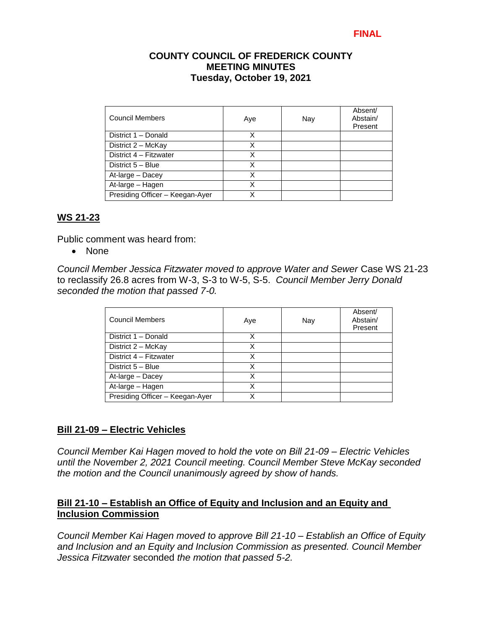| Council Members                 | Aye | Nay | Absent/<br>Abstain/<br>Present |
|---------------------------------|-----|-----|--------------------------------|
| District 1 - Donald             | x   |     |                                |
| District 2 - McKay              | X   |     |                                |
| District 4 - Fitzwater          | х   |     |                                |
| District 5 - Blue               | X   |     |                                |
| At-large - Dacey                | X   |     |                                |
| At-large - Hagen                | X   |     |                                |
| Presiding Officer - Keegan-Ayer | χ   |     |                                |

### **WS 21-23**

Public comment was heard from:

• None

*Council Member Jessica Fitzwater moved to approve Water and Sewer* Case WS 21-23 to reclassify 26.8 acres from W-3, S-3 to W-5, S-5. *Council Member Jerry Donald seconded the motion that passed 7-0.* 

| <b>Council Members</b>          | Aye | Nay | Absent/<br>Abstain/<br>Present |
|---------------------------------|-----|-----|--------------------------------|
| District 1 - Donald             | x   |     |                                |
| District 2 - McKay              | X   |     |                                |
| District 4 - Fitzwater          | х   |     |                                |
| District 5 - Blue               | x   |     |                                |
| At-large - Dacey                | Χ   |     |                                |
| At-large - Hagen                | Χ   |     |                                |
| Presiding Officer - Keegan-Ayer | x   |     |                                |

### **Bill 21-09 – Electric Vehicles**

*Council Member Kai Hagen moved to hold the vote on Bill 21-09 – Electric Vehicles until the November 2, 2021 Council meeting. Council Member Steve McKay seconded the motion and the Council unanimously agreed by show of hands.* 

### **Bill 21-10 – Establish an Office of Equity and Inclusion and an Equity and Inclusion Commission**

*Council Member Kai Hagen moved to approve Bill 21-10 – Establish an Office of Equity and Inclusion and an Equity and Inclusion Commission as presented. Council Member Jessica Fitzwater* seconded *the motion that passed 5-2.*